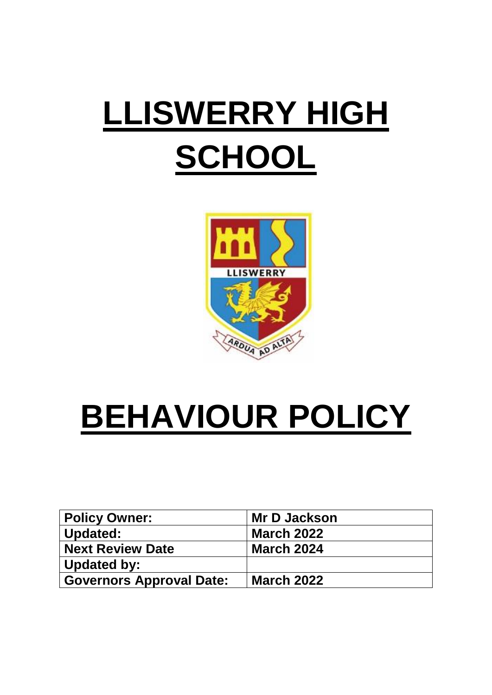# LLISWERRY HIGH **SCHOOL**



## **BEHAVIOUR POLICY**

| <b>Policy Owner:</b>            | <b>Mr D Jackson</b> |
|---------------------------------|---------------------|
| <b>Updated:</b>                 | <b>March 2022</b>   |
| <b>Next Review Date</b>         | <b>March 2024</b>   |
| Updated by:                     |                     |
| <b>Governors Approval Date:</b> | <b>March 2022</b>   |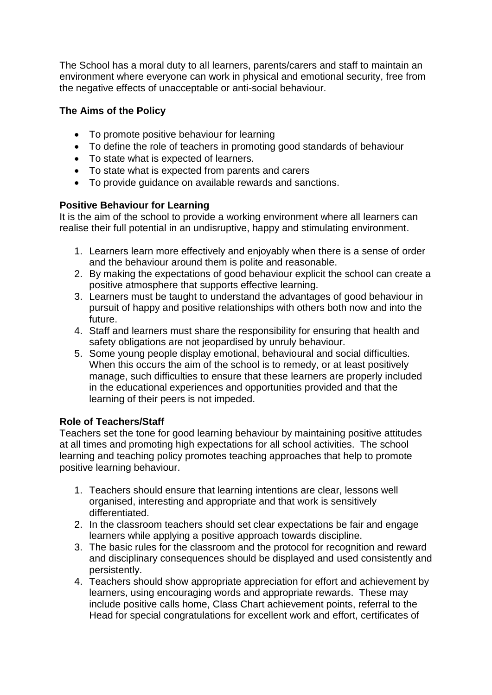The School has a moral duty to all learners, parents/carers and staff to maintain an environment where everyone can work in physical and emotional security, free from the negative effects of unacceptable or anti-social behaviour.

## **The Aims of the Policy**

- To promote positive behaviour for learning
- To define the role of teachers in promoting good standards of behaviour
- To state what is expected of learners.
- To state what is expected from parents and carers
- To provide guidance on available rewards and sanctions.

## **Positive Behaviour for Learning**

It is the aim of the school to provide a working environment where all learners can realise their full potential in an undisruptive, happy and stimulating environment.

- 1. Learners learn more effectively and enjoyably when there is a sense of order and the behaviour around them is polite and reasonable.
- 2. By making the expectations of good behaviour explicit the school can create a positive atmosphere that supports effective learning.
- 3. Learners must be taught to understand the advantages of good behaviour in pursuit of happy and positive relationships with others both now and into the future.
- 4. Staff and learners must share the responsibility for ensuring that health and safety obligations are not jeopardised by unruly behaviour.
- 5. Some young people display emotional, behavioural and social difficulties. When this occurs the aim of the school is to remedy, or at least positively manage, such difficulties to ensure that these learners are properly included in the educational experiences and opportunities provided and that the learning of their peers is not impeded.

## **Role of Teachers/Staff**

Teachers set the tone for good learning behaviour by maintaining positive attitudes at all times and promoting high expectations for all school activities. The school learning and teaching policy promotes teaching approaches that help to promote positive learning behaviour.

- 1. Teachers should ensure that learning intentions are clear, lessons well organised, interesting and appropriate and that work is sensitively differentiated.
- 2. In the classroom teachers should set clear expectations be fair and engage learners while applying a positive approach towards discipline.
- 3. The basic rules for the classroom and the protocol for recognition and reward and disciplinary consequences should be displayed and used consistently and persistently.
- 4. Teachers should show appropriate appreciation for effort and achievement by learners, using encouraging words and appropriate rewards. These may include positive calls home, Class Chart achievement points, referral to the Head for special congratulations for excellent work and effort, certificates of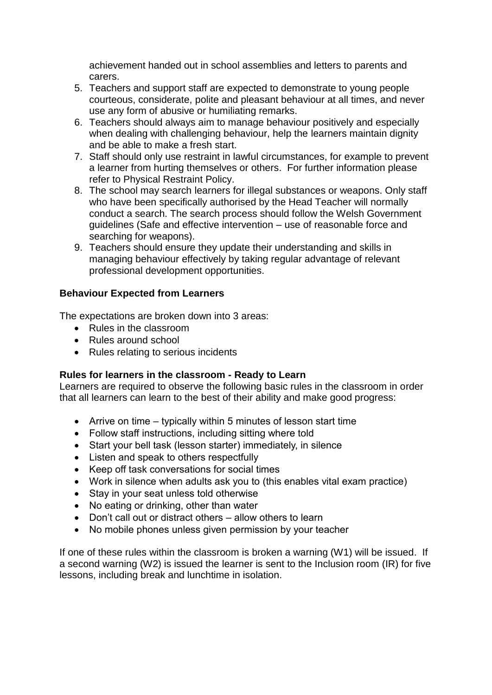achievement handed out in school assemblies and letters to parents and carers.

- 5. Teachers and support staff are expected to demonstrate to young people courteous, considerate, polite and pleasant behaviour at all times, and never use any form of abusive or humiliating remarks.
- 6. Teachers should always aim to manage behaviour positively and especially when dealing with challenging behaviour, help the learners maintain dignity and be able to make a fresh start.
- 7. Staff should only use restraint in lawful circumstances, for example to prevent a learner from hurting themselves or others. For further information please refer to Physical Restraint Policy.
- 8. The school may search learners for illegal substances or weapons. Only staff who have been specifically authorised by the Head Teacher will normally conduct a search. The search process should follow the Welsh Government guidelines (Safe and effective intervention – use of reasonable force and searching for weapons).
- 9. Teachers should ensure they update their understanding and skills in managing behaviour effectively by taking regular advantage of relevant professional development opportunities.

## **Behaviour Expected from Learners**

The expectations are broken down into 3 areas:

- Rules in the classroom
- Rules around school
- Rules relating to serious incidents

## **Rules for learners in the classroom - Ready to Learn**

Learners are required to observe the following basic rules in the classroom in order that all learners can learn to the best of their ability and make good progress:

- Arrive on time typically within 5 minutes of lesson start time
- Follow staff instructions, including sitting where told
- Start your bell task (lesson starter) immediately, in silence
- Listen and speak to others respectfully
- Keep off task conversations for social times
- Work in silence when adults ask you to (this enables vital exam practice)
- Stay in your seat unless told otherwise
- No eating or drinking, other than water
- Don't call out or distract others allow others to learn
- No mobile phones unless given permission by your teacher

If one of these rules within the classroom is broken a warning (W1) will be issued. If a second warning (W2) is issued the learner is sent to the Inclusion room (IR) for five lessons, including break and lunchtime in isolation.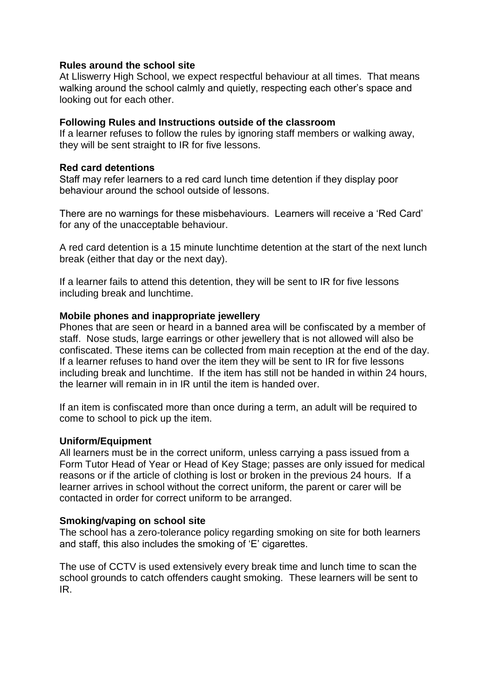#### **Rules around the school site**

At Lliswerry High School, we expect respectful behaviour at all times. That means walking around the school calmly and quietly, respecting each other's space and looking out for each other.

#### **Following Rules and Instructions outside of the classroom**

If a learner refuses to follow the rules by ignoring staff members or walking away, they will be sent straight to IR for five lessons.

#### **Red card detentions**

Staff may refer learners to a red card lunch time detention if they display poor behaviour around the school outside of lessons.

There are no warnings for these misbehaviours. Learners will receive a 'Red Card' for any of the unacceptable behaviour.

A red card detention is a 15 minute lunchtime detention at the start of the next lunch break (either that day or the next day).

If a learner fails to attend this detention, they will be sent to IR for five lessons including break and lunchtime.

#### **Mobile phones and inappropriate jewellery**

Phones that are seen or heard in a banned area will be confiscated by a member of staff. Nose studs, large earrings or other jewellery that is not allowed will also be confiscated. These items can be collected from main reception at the end of the day. If a learner refuses to hand over the item they will be sent to IR for five lessons including break and lunchtime. If the item has still not be handed in within 24 hours, the learner will remain in in IR until the item is handed over.

If an item is confiscated more than once during a term, an adult will be required to come to school to pick up the item.

#### **Uniform/Equipment**

All learners must be in the correct uniform, unless carrying a pass issued from a Form Tutor Head of Year or Head of Key Stage; passes are only issued for medical reasons or if the article of clothing is lost or broken in the previous 24 hours. If a learner arrives in school without the correct uniform, the parent or carer will be contacted in order for correct uniform to be arranged.

#### **Smoking/vaping on school site**

The school has a zero-tolerance policy regarding smoking on site for both learners and staff, this also includes the smoking of 'E' cigarettes.

The use of CCTV is used extensively every break time and lunch time to scan the school grounds to catch offenders caught smoking. These learners will be sent to IR.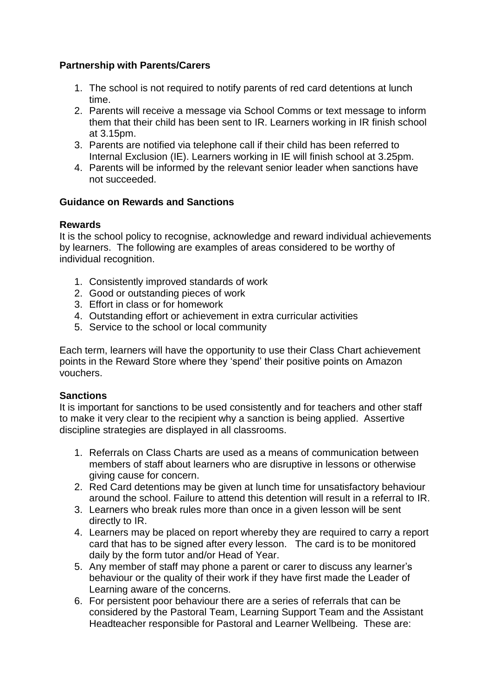## **Partnership with Parents/Carers**

- 1. The school is not required to notify parents of red card detentions at lunch time.
- 2. Parents will receive a message via School Comms or text message to inform them that their child has been sent to IR. Learners working in IR finish school at 3.15pm.
- 3. Parents are notified via telephone call if their child has been referred to Internal Exclusion (IE). Learners working in IE will finish school at 3.25pm.
- 4. Parents will be informed by the relevant senior leader when sanctions have not succeeded.

#### **Guidance on Rewards and Sanctions**

#### **Rewards**

It is the school policy to recognise, acknowledge and reward individual achievements by learners. The following are examples of areas considered to be worthy of individual recognition.

- 1. Consistently improved standards of work
- 2. Good or outstanding pieces of work
- 3. Effort in class or for homework
- 4. Outstanding effort or achievement in extra curricular activities
- 5. Service to the school or local community

Each term, learners will have the opportunity to use their Class Chart achievement points in the Reward Store where they 'spend' their positive points on Amazon vouchers.

#### **Sanctions**

It is important for sanctions to be used consistently and for teachers and other staff to make it very clear to the recipient why a sanction is being applied. Assertive discipline strategies are displayed in all classrooms.

- 1. Referrals on Class Charts are used as a means of communication between members of staff about learners who are disruptive in lessons or otherwise giving cause for concern.
- 2. Red Card detentions may be given at lunch time for unsatisfactory behaviour around the school. Failure to attend this detention will result in a referral to IR.
- 3. Learners who break rules more than once in a given lesson will be sent directly to IR.
- 4. Learners may be placed on report whereby they are required to carry a report card that has to be signed after every lesson. The card is to be monitored daily by the form tutor and/or Head of Year.
- 5. Any member of staff may phone a parent or carer to discuss any learner's behaviour or the quality of their work if they have first made the Leader of Learning aware of the concerns.
- 6. For persistent poor behaviour there are a series of referrals that can be considered by the Pastoral Team, Learning Support Team and the Assistant Headteacher responsible for Pastoral and Learner Wellbeing. These are: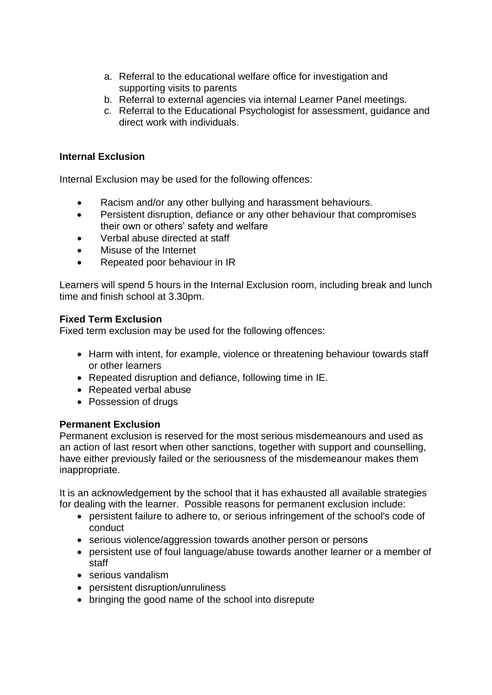- a. Referral to the educational welfare office for investigation and supporting visits to parents
- b. Referral to external agencies via internal Learner Panel meetings.
- c. Referral to the Educational Psychologist for assessment, guidance and direct work with individuals.

#### **Internal Exclusion**

Internal Exclusion may be used for the following offences:

- Racism and/or any other bullying and harassment behaviours.
- Persistent disruption, defiance or any other behaviour that compromises their own or others' safety and welfare
- Verbal abuse directed at staff
- Misuse of the Internet
- Repeated poor behaviour in IR

Learners will spend 5 hours in the Internal Exclusion room, including break and lunch time and finish school at 3.30pm.

#### **Fixed Term Exclusion**

Fixed term exclusion may be used for the following offences:

- Harm with intent, for example, violence or threatening behaviour towards staff or other learners
- Repeated disruption and defiance, following time in IE.
- Repeated verbal abuse
- Possession of drugs

#### **Permanent Exclusion**

Permanent exclusion is reserved for the most serious misdemeanours and used as an action of last resort when other sanctions, together with support and counselling, have either previously failed or the seriousness of the misdemeanour makes them inappropriate.

It is an acknowledgement by the school that it has exhausted all available strategies for dealing with the learner. Possible reasons for permanent exclusion include:

- persistent failure to adhere to, or serious infringement of the school's code of conduct
- serious violence/aggression towards another person or persons
- persistent use of foul language/abuse towards another learner or a member of staff
- serious vandalism
- persistent disruption/unruliness
- bringing the good name of the school into disrepute